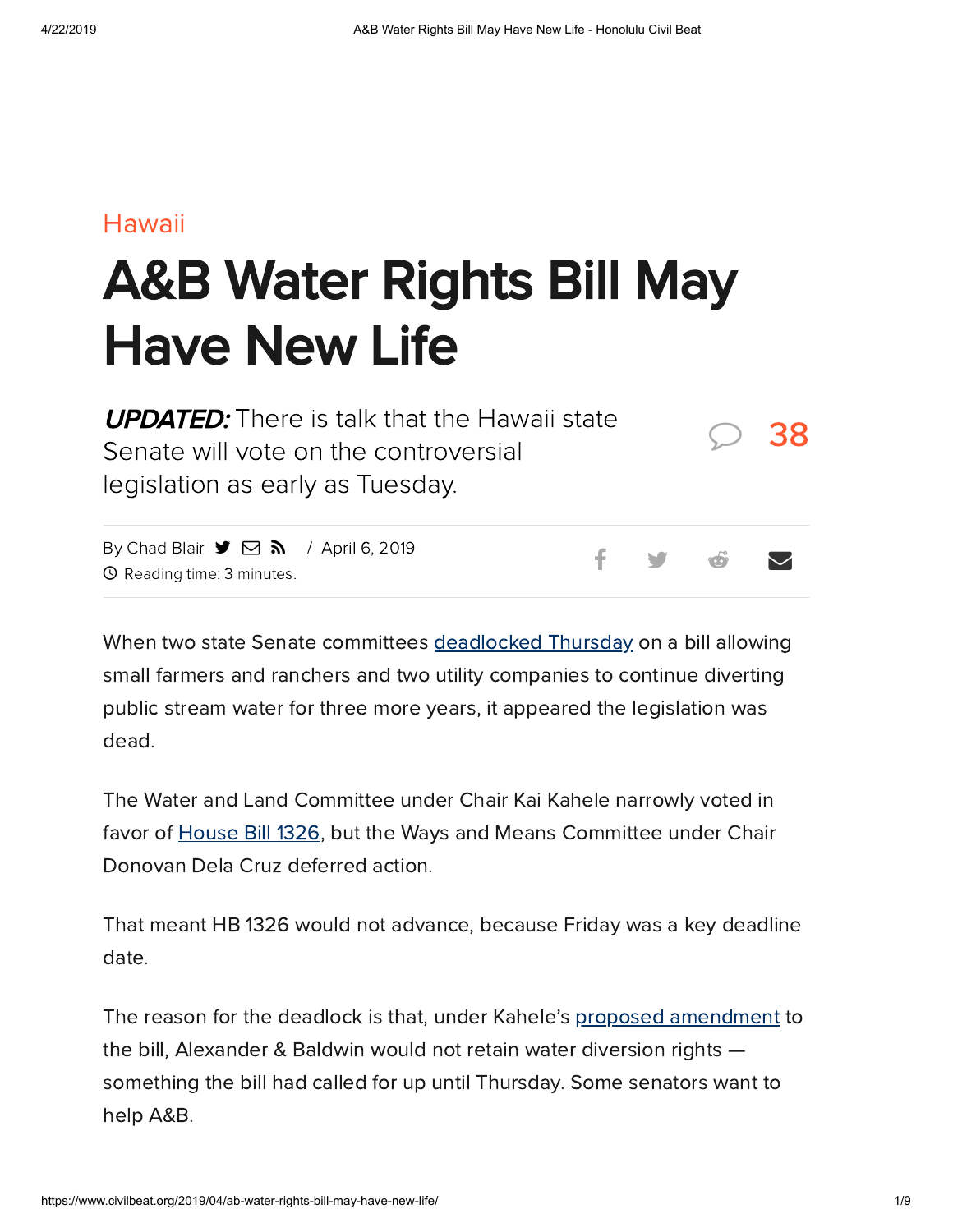### [Hawaii](https://www.civilbeat.org/category/hawaii-beat/)

# A&B Water Rights Bill May Have New Life

| <b>UPDATED:</b> There is talk that the Hawaii state<br>Senate will vote on the controversial                                                       |  |  |                               | $\bigcirc$ 38 |
|----------------------------------------------------------------------------------------------------------------------------------------------------|--|--|-------------------------------|---------------|
|                                                                                                                                                    |  |  |                               |               |
| By Chad Blair $\blacktriangleright \Box \blacktriangleright \Box$ / April 6, 2019<br>$\Omega$ , $\Omega$ , it is a theory $\Omega$ as the start of |  |  | $f$ y $\phi$ $\triangleright$ |               |

By [Chad](https://www.civilbeat.org/author/cblair/) Blair  $\rightarrow \rightarrow \rightarrow \rightarrow$  / April 6, 2019 Reading time: 3 minutes.

When two state Senate committees [deadlocked](https://www.civilbeat.org/2019/04/water-rights-bill-goes-down-the-drain-in-historic-vote/) Thursday on a bill allowing small farmers and ranchers and two utility companies to continue diverting public stream water for three more years, it appeared the legislation was dead.

The Water and Land Committee under Chair Kai Kahele narrowly voted in favor of [House](https://www.civilbeat.org/2019/04/water-rights-bill-goes-down-the-drain-in-historic-vote/) Bill 1326, but the Ways and Means Committee under Chair Donovan Dela Cruz deferred action.

That meant HB 1326 would not advance, because Friday was a key deadline date.

The reason for the deadlock is that, under Kahele's proposed [amendment](https://www.capitol.hawaii.gov/session2019/bills/HB1326_SD1_PROPOSED_.HTM) to the bill, Alexander & Baldwin would not retain water diversion rights something the bill had called for up until Thursday. Some senators want to help A&B.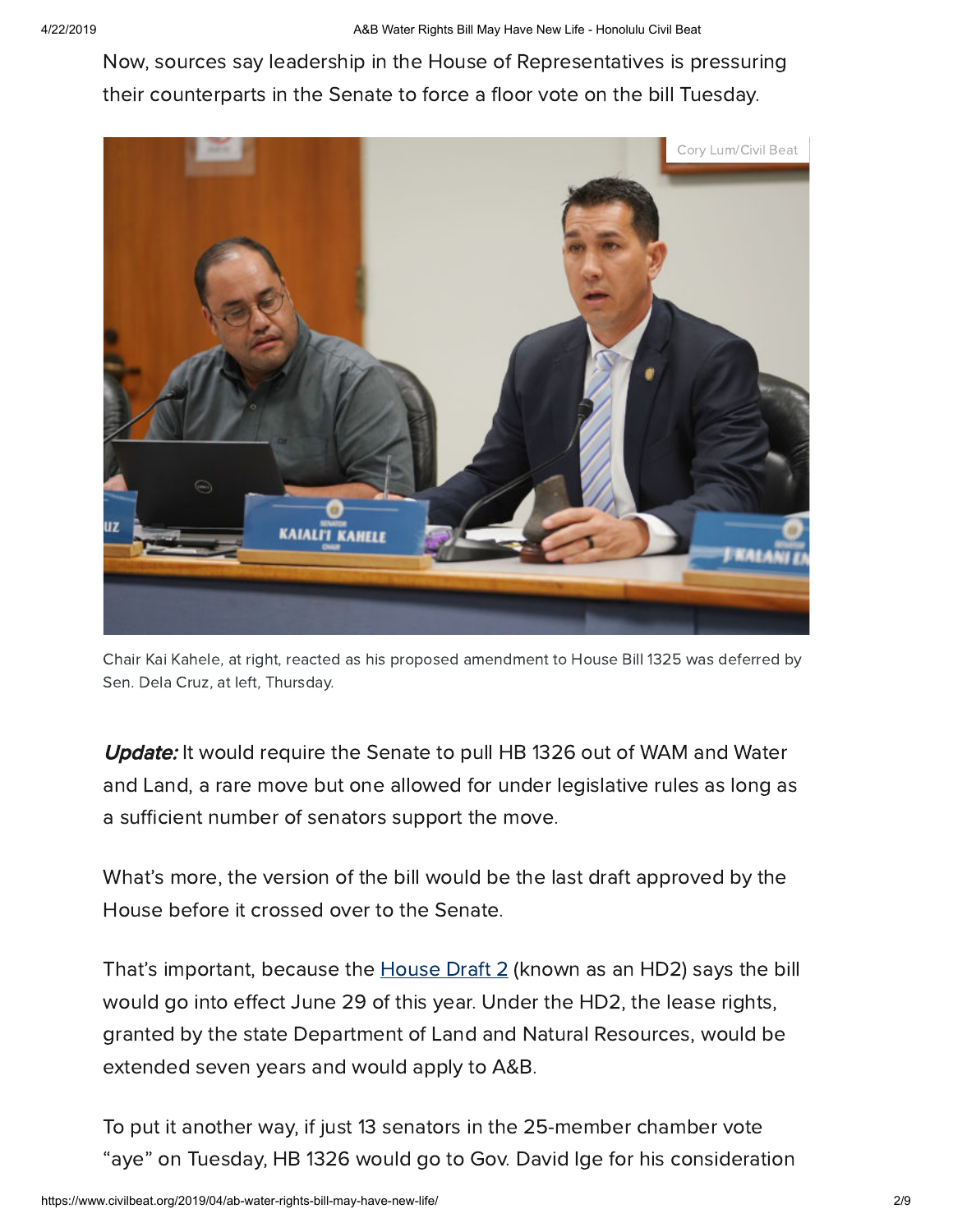Now, sources say leadership in the House of Representatives is pressuring their counterparts in the Senate to force a floor vote on the bill Tuesday.



Chair Kai Kahele, at right, reacted as his proposed amendment to House Bill 1325 was deferred by Sen. Dela Cruz, at left, Thursday.

Update: It would require the Senate to pull HB 1326 out of WAM and Water and Land, a rare move but one allowed for under legislative rules as long as a sufficient number of senators support the move.

What's more, the version of the bill would be the last draft approved by the House before it crossed over to the Senate.

That's important, because the [House](https://www.capitol.hawaii.gov/session2019/bills/HB1326_HD2_.htm) Draft 2 (known as an HD2) says the bill would go into effect June 29 of this year. Under the HD2, the lease rights, granted by the state Department of Land and Natural Resources, would be extended seven years and would apply to A&B.

To put it another way, if just 13 senators in the 25-member chamber vote "aye" on Tuesday, HB 1326 would go to Gov. David Ige for his consideration